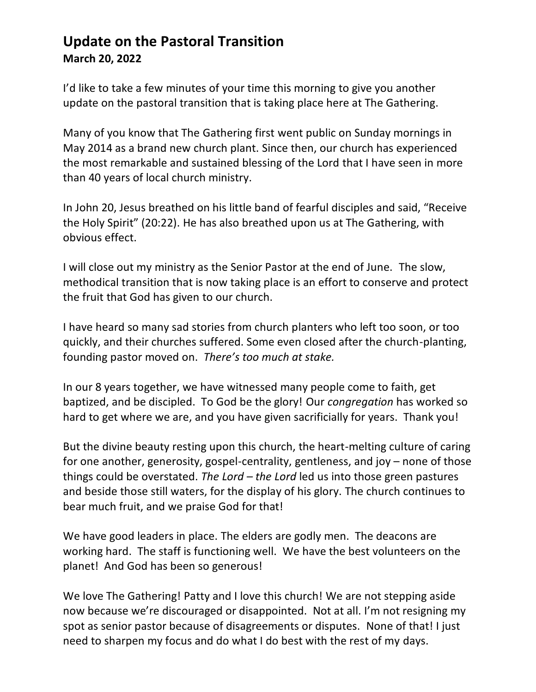## **Update on the Pastoral Transition March 20, 2022**

I'd like to take a few minutes of your time this morning to give you another update on the pastoral transition that is taking place here at The Gathering.

Many of you know that The Gathering first went public on Sunday mornings in May 2014 as a brand new church plant. Since then, our church has experienced the most remarkable and sustained blessing of the Lord that I have seen in more than 40 years of local church ministry.

In John 20, Jesus breathed on his little band of fearful disciples and said, "Receive the Holy Spirit" (20:22). He has also breathed upon us at The Gathering, with obvious effect.

I will close out my ministry as the Senior Pastor at the end of June. The slow, methodical transition that is now taking place is an effort to conserve and protect the fruit that God has given to our church.

I have heard so many sad stories from church planters who left too soon, or too quickly, and their churches suffered. Some even closed after the church-planting, founding pastor moved on. *There's too much at stake.* 

In our 8 years together, we have witnessed many people come to faith, get baptized, and be discipled. To God be the glory! Our *congregation* has worked so hard to get where we are, and you have given sacrificially for years. Thank you!

But the divine beauty resting upon this church, the heart-melting culture of caring for one another, generosity, gospel-centrality, gentleness, and joy – none of those things could be overstated. *The Lord – the Lord* led us into those green pastures and beside those still waters, for the display of his glory. The church continues to bear much fruit, and we praise God for that!

We have good leaders in place. The elders are godly men. The deacons are working hard. The staff is functioning well. We have the best volunteers on the planet! And God has been so generous!

We love The Gathering! Patty and I love this church! We are not stepping aside now because we're discouraged or disappointed. Not at all. I'm not resigning my spot as senior pastor because of disagreements or disputes. None of that! I just need to sharpen my focus and do what I do best with the rest of my days.